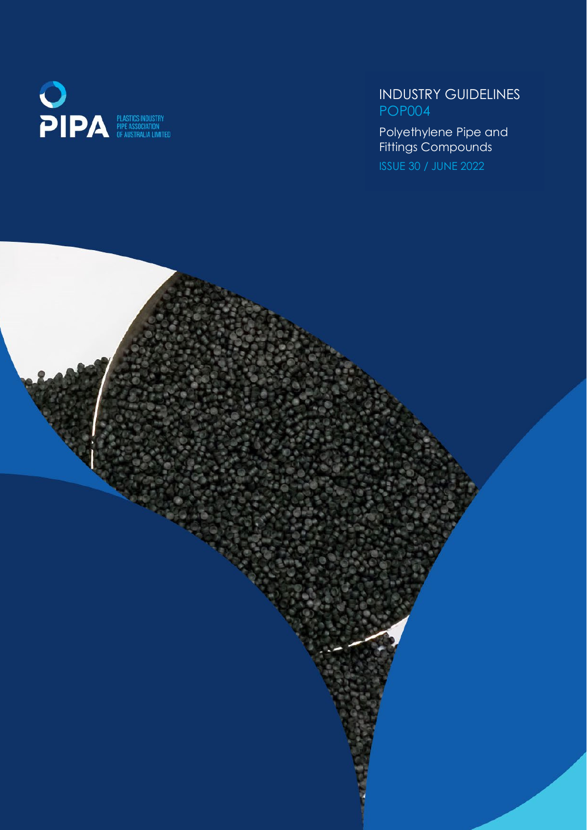

## INDUSTRY GUIDELINES POP004

 $\sim$   $\sim$   $\sim$   $\sim$   $\sim$   $\sim$ Polyethylene Pipe and Fittings Compounds

ISSUE 30 / JUNE 2022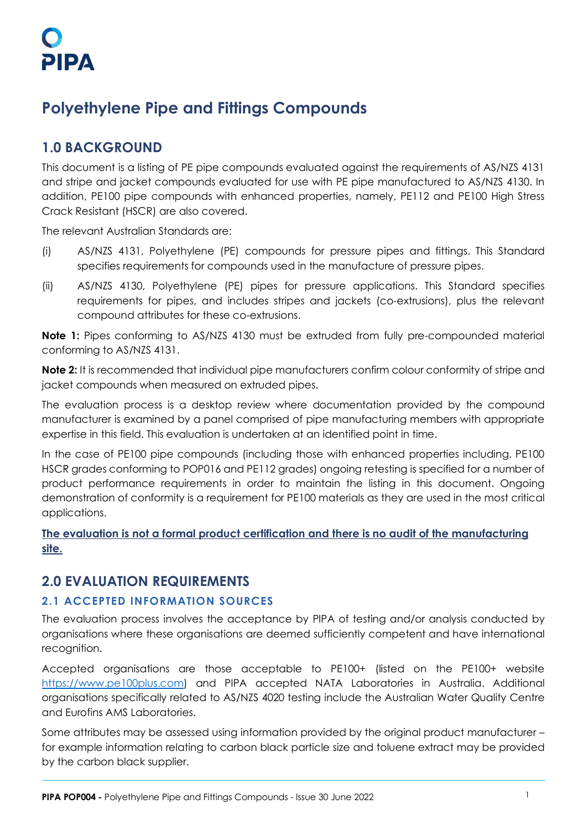# **Polyethylene Pipe and Fittings Compounds**

## **1.0 BACKGROUND**

This document is a listing of PE pipe compounds evaluated against the requirements of AS/NZS 4131 and stripe and jacket compounds evaluated for use with PE pipe manufactured to AS/NZS 4130. In addition, PE100 pipe compounds with enhanced properties, namely, PE112 and PE100 High Stress Crack Resistant (HSCR) are also covered.

The relevant Australian Standards are:

- (i) AS/NZS 4131, Polyethylene (PE) compounds for pressure pipes and fittings. This Standard specifies requirements for compounds used in the manufacture of pressure pipes.
- (ii) AS/NZS 4130, Polyethylene (PE) pipes for pressure applications. This Standard specifies requirements for pipes, and includes stripes and jackets (co-extrusions), plus the relevant compound attributes for these co-extrusions.

**Note 1:** Pipes conforming to AS/NZS 4130 must be extruded from fully pre-compounded material conforming to AS/NZS 4131.

**Note 2:** It is recommended that individual pipe manufacturers confirm colour conformity of stripe and jacket compounds when measured on extruded pipes.

The evaluation process is a desktop review where documentation provided by the compound manufacturer is examined by a panel comprised of pipe manufacturing members with appropriate expertise in this field. This evaluation is undertaken at an identified point in time.

In the case of PE100 pipe compounds (including those with enhanced properties including, PE100 HSCR grades conforming to POP016 and PE112 grades) ongoing retesting is specified for a number of product performance requirements in order to maintain the listing in this document. Ongoing demonstration of conformity is a requirement for PE100 materials as they are used in the most critical applications.

**The evaluation is not a formal product certification and there is no audit of the manufacturing site.**

## **2.0 EVALUATION REQUIREMENTS**

## **2.1 ACCEPTED INFORMATION SOURCES**

The evaluation process involves the acceptance by PIPA of testing and/or analysis conducted by organisations where these organisations are deemed sufficiently competent and have international recognition.

Accepted organisations are those acceptable to PE100+ (listed on the PE100+ website [https://www.pe100plus.com\)](https://www.pe100plus.com/) and PIPA accepted NATA Laboratories in Australia. Additional organisations specifically related to AS/NZS 4020 testing include the Australian Water Quality Centre and Eurofins AMS Laboratories.

Some attributes may be assessed using information provided by the original product manufacturer – for example information relating to carbon black particle size and toluene extract may be provided by the carbon black supplier.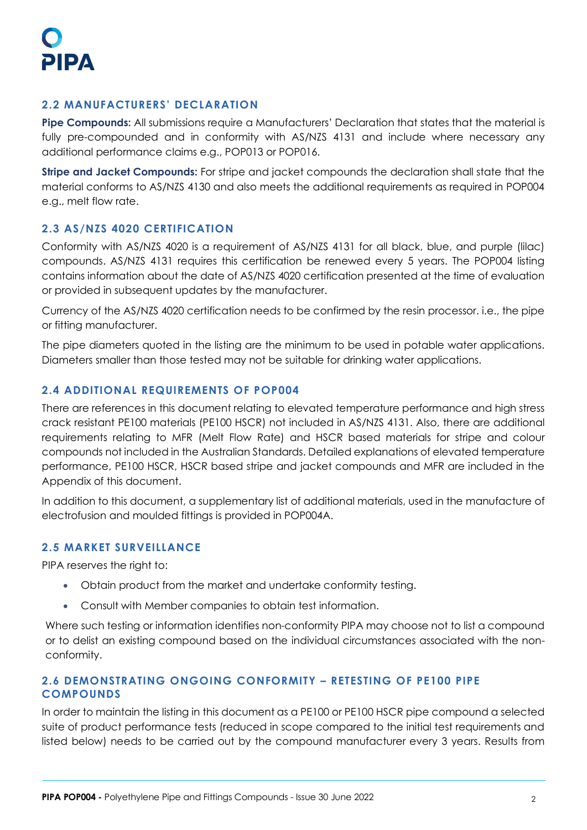## **2.2 MANUFACTURERS' DECLARATION**

**Pipe Compounds:** All submissions require a Manufacturers' Declaration that states that the material is fully pre-compounded and in conformity with AS/NZS 4131 and include where necessary any additional performance claims e.g., POP013 or POP016.

**Stripe and Jacket Compounds:** For stripe and jacket compounds the declaration shall state that the material conforms to AS/NZS 4130 and also meets the additional requirements as required in POP004 e.g., melt flow rate.

## **2.3 AS/NZS 4020 CERTIFICATION**

Conformity with AS/NZS 4020 is a requirement of AS/NZS 4131 for all black, blue, and purple (lilac) compounds. AS/NZS 4131 requires this certification be renewed every 5 years. The POP004 listing contains information about the date of AS/NZS 4020 certification presented at the time of evaluation or provided in subsequent updates by the manufacturer.

Currency of the AS/NZS 4020 certification needs to be confirmed by the resin processor. i.e., the pipe or fitting manufacturer.

The pipe diameters quoted in the listing are the minimum to be used in potable water applications. Diameters smaller than those tested may not be suitable for drinking water applications.

## **2.4 ADDITIONAL REQUIREMENTS OF POP004**

There are references in this document relating to elevated temperature performance and high stress crack resistant PE100 materials (PE100 HSCR) not included in AS/NZS 4131. Also, there are additional requirements relating to MFR (Melt Flow Rate) and HSCR based materials for stripe and colour compounds not included in the Australian Standards. Detailed explanations of elevated temperature performance, PE100 HSCR, HSCR based stripe and jacket compounds and MFR are included in the Appendix of this document.

In addition to this document, a supplementary list of additional materials, used in the manufacture of electrofusion and moulded fittings is provided in POP004A.

## **2.5 MARKET SURVEILLANCE**

PIPA reserves the right to:

- Obtain product from the market and undertake conformity testing.
- Consult with Member companies to obtain test information.

Where such testing or information identifies non-conformity PIPA may choose not to list a compound or to delist an existing compound based on the individual circumstances associated with the nonconformity.

## **2.6 DEMONSTRATING ONGOING CONFORMITY – RETESTING OF PE100 PIPE COMPOUNDS**

In order to maintain the listing in this document as a PE100 or PE100 HSCR pipe compound a selected suite of product performance tests (reduced in scope compared to the initial test requirements and listed below) needs to be carried out by the compound manufacturer every 3 years. Results from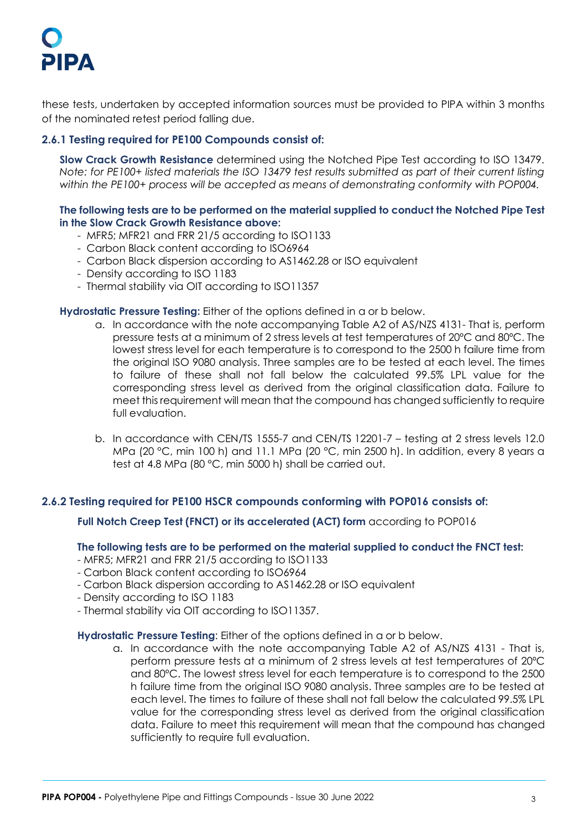# PIPA

these tests, undertaken by accepted information sources must be provided to PIPA within 3 months of the nominated retest period falling due.

## **2.6.1 Testing required for PE100 Compounds consist of:**

**Slow Crack Growth Resistance** determined using the Notched Pipe Test according to ISO 13479. *Note: for PE100+ listed materials the ISO 13479 test results submitted as part of their current listing within the PE100+ process will be accepted as means of demonstrating conformity with POP004.*

### **The following tests are to be performed on the material supplied to conduct the Notched Pipe Test in the Slow Crack Growth Resistance above:**

- MFR5; MFR21 and FRR 21/5 according to ISO1133
- Carbon Black content according to ISO6964
- Carbon Black dispersion according to AS1462.28 or ISO equivalent
- Density according to ISO 1183
- Thermal stability via OIT according to ISO11357

### **Hydrostatic Pressure Testing:** Either of the options defined in a or b below.

- a. In accordance with the note accompanying Table A2 of AS/NZS 4131- That is, perform pressure tests at a minimum of 2 stress levels at test temperatures of 20ºC and 80ºC. The lowest stress level for each temperature is to correspond to the 2500 h failure time from the original ISO 9080 analysis. Three samples are to be tested at each level. The times to failure of these shall not fall below the calculated 99.5% LPL value for the corresponding stress level as derived from the original classification data. Failure to meet this requirement will mean that the compound has changed sufficiently to require full evaluation.
- b. In accordance with CEN/TS 1555-7 and CEN/TS 12201-7 testing at 2 stress levels 12.0 MPa (20 °C, min 100 h) and 11.1 MPa (20 °C, min 2500 h). In addition, every 8 years a test at 4.8 MPa (80 °C, min 5000 h) shall be carried out.

### **2.6.2 Testing required for PE100 HSCR compounds conforming with POP016 consists of:**

**Full Notch Creep Test (FNCT) or its accelerated (ACT) form** according to POP016

### **The following tests are to be performed on the material supplied to conduct the FNCT test:**

- MFR5; MFR21 and FRR 21/5 according to ISO1133
- Carbon Black content according to ISO6964
- Carbon Black dispersion according to AS1462.28 or ISO equivalent
- Density according to ISO 1183
- Thermal stability via OIT according to ISO11357.

#### **Hydrostatic Pressure Testing**: Either of the options defined in a or b below.

a. In accordance with the note accompanying Table A2 of AS/NZS 4131 - That is, perform pressure tests at a minimum of 2 stress levels at test temperatures of 20ºC and 80ºC. The lowest stress level for each temperature is to correspond to the 2500 h failure time from the original ISO 9080 analysis. Three samples are to be tested at each level. The times to failure of these shall not fall below the calculated 99.5% LPL value for the corresponding stress level as derived from the original classification data. Failure to meet this requirement will mean that the compound has changed sufficiently to require full evaluation.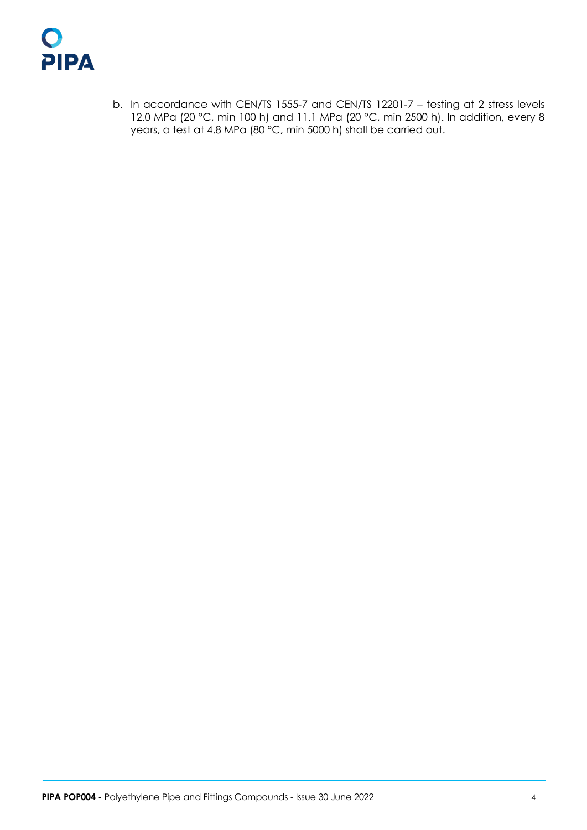

b. In accordance with CEN/TS 1555-7 and CEN/TS 12201-7 – testing at 2 stress levels 12.0 MPa (20 °C, min 100 h) and 11.1 MPa (20 °C, min 2500 h). In addition, every 8 years, a test at 4.8 MPa (80 °C, min 5000 h) shall be carried out.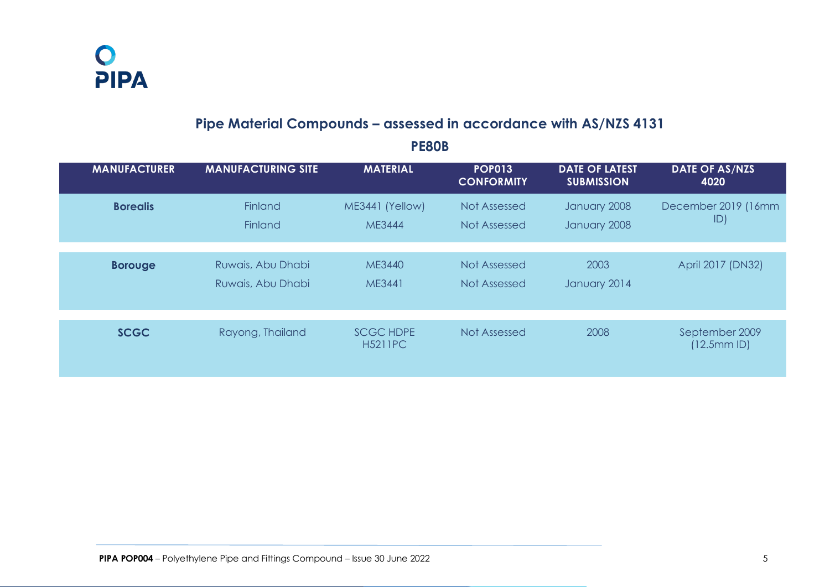O<br>PIPA

# **Pipe Material Compounds – assessed in accordance with AS/NZS 4131**

| <b>MANUFACTURER</b> | <b>MANUFACTURING SITE</b>              | <b>MATERIAL</b>                    | <b>POP013</b><br><b>CONFORMITY</b> | <b>DATE OF LATEST</b><br><b>SUBMISSION</b> | <b>DATE OF AS/NZS</b><br>4020 |
|---------------------|----------------------------------------|------------------------------------|------------------------------------|--------------------------------------------|-------------------------------|
| <b>Borealis</b>     | <b>Finland</b><br><b>Finland</b>       | ME3441 (Yellow)<br><b>ME3444</b>   | Not Assessed<br>Not Assessed       | January 2008<br>January 2008               | December 2019 (16mm<br>ID)    |
| <b>Borouge</b>      | Ruwais, Abu Dhabi<br>Ruwais, Abu Dhabi | ME3440<br>ME3441                   | Not Assessed<br>Not Assessed       | 2003<br>January 2014                       | April 2017 (DN32)             |
| <b>SCGC</b>         | Rayong, Thailand                       | <b>SCGC HDPE</b><br><b>H5211PC</b> | Not Assessed                       | 2008                                       | September 2009<br>(12.5mmID)  |

## **PE80B**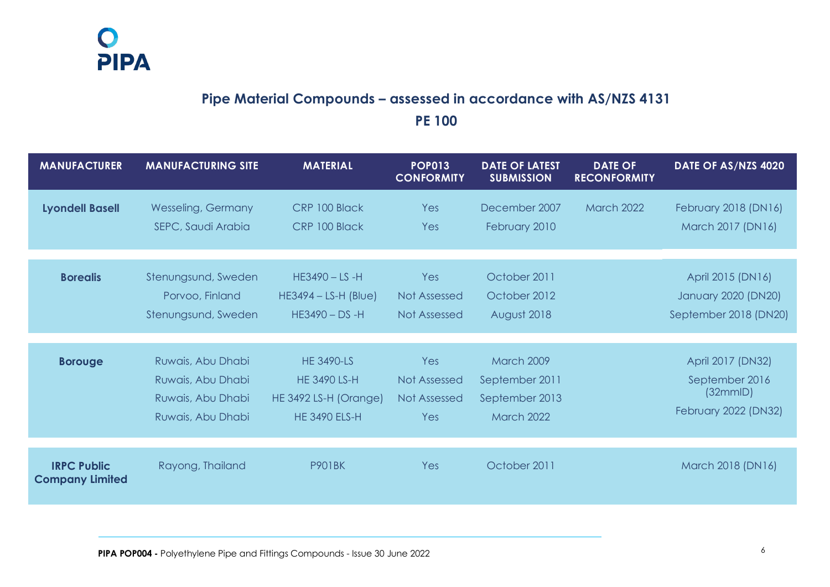# **Pipe Material Compounds – assessed in accordance with AS/NZS 4131 PE 100**

| <b>MANUFACTURER</b>                          | <b>MANUFACTURING SITE</b>                                                        | <b>MATERIAL</b>                                                                           | <b>POP013</b><br><b>CONFORMITY</b>                | <b>DATE OF LATEST</b><br><b>SUBMISSION</b>                                 | <b>DATE OF</b><br><b>RECONFORMITY</b> | DATE OF AS/NZS 4020                                                     |
|----------------------------------------------|----------------------------------------------------------------------------------|-------------------------------------------------------------------------------------------|---------------------------------------------------|----------------------------------------------------------------------------|---------------------------------------|-------------------------------------------------------------------------|
| <b>Lyondell Basell</b>                       | <b>Wesseling, Germany</b><br>SEPC, Saudi Arabia                                  | CRP 100 Black<br>CRP 100 Black                                                            | Yes<br>Yes                                        | December 2007<br>February 2010                                             | <b>March 2022</b>                     | February 2018 (DN16)<br>March 2017 (DN16)                               |
| <b>Borealis</b>                              | Stenungsund, Sweden<br>Porvoo, Finland<br>Stenungsund, Sweden                    | $HE3490 - LS - H$<br>$HE3494 - LS-H (Blue)$<br>$HE3490 - DS - H$                          | Yes<br><b>Not Assessed</b><br>Not Assessed        | October 2011<br>October 2012<br>August 2018                                |                                       | April 2015 (DN16)<br>January 2020 (DN20)<br>September 2018 (DN20)       |
| <b>Borouge</b>                               | Ruwais, Abu Dhabi<br>Ruwais, Abu Dhabi<br>Ruwais, Abu Dhabi<br>Ruwais, Abu Dhabi | <b>HE 3490-LS</b><br><b>HE 3490 LS-H</b><br>HE 3492 LS-H (Orange)<br><b>HE 3490 ELS-H</b> | Yes<br>Not Assessed<br><b>Not Assessed</b><br>Yes | <b>March 2009</b><br>September 2011<br>September 2013<br><b>March 2022</b> |                                       | April 2017 (DN32)<br>September 2016<br>(32mmID)<br>February 2022 (DN32) |
| <b>IRPC Public</b><br><b>Company Limited</b> | Rayong, Thailand                                                                 | <b>P901BK</b>                                                                             | Yes                                               | October 2011                                                               |                                       | March 2018 (DN16)                                                       |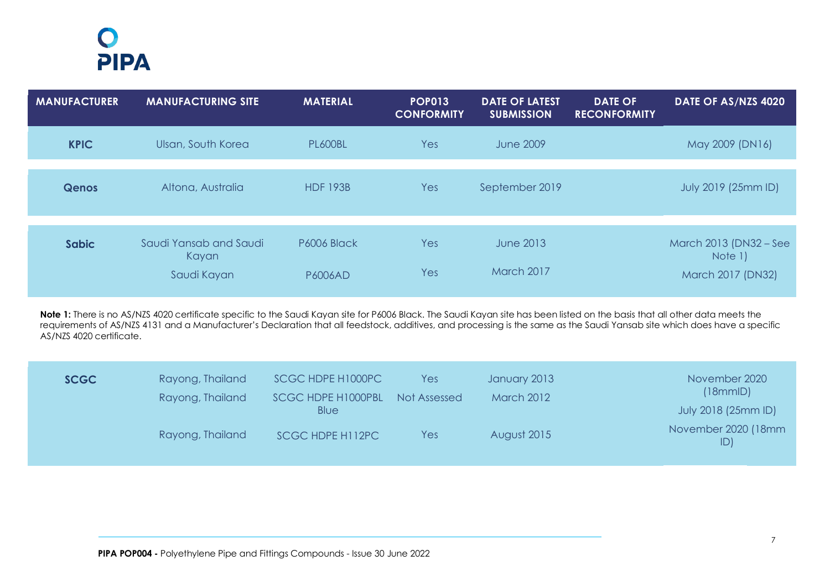# $\bullet$ PIPA

| <b>MANUFACTURER</b> | <b>MANUFACTURING SITE</b>                      | <b>MATERIAL</b>               | <b>POP013</b><br><b>CONFORMITY</b> | <b>DATE OF LATEST</b><br><b>SUBMISSION</b> | <b>DATE OF</b><br><b>RECONFORMITY</b> | DATE OF AS/NZS 4020                                    |
|---------------------|------------------------------------------------|-------------------------------|------------------------------------|--------------------------------------------|---------------------------------------|--------------------------------------------------------|
| <b>KPIC</b>         | Ulsan, South Korea                             | <b>PL600BL</b>                | Yes                                | <b>June 2009</b>                           |                                       | May 2009 (DN16)                                        |
| <b>Qenos</b>        | Altona, Australia                              | <b>HDF 193B</b>               | Yes                                | September 2019                             |                                       | July 2019 (25mm ID)                                    |
| <b>Sabic</b>        | Saudi Yansab and Saudi<br>Kayan<br>Saudi Kayan | P6006 Black<br><b>P6006AD</b> | Yes<br>Yes                         | June 2013<br>March 2017                    |                                       | March 2013 (DN32 – See<br>Note 1)<br>March 2017 (DN32) |

Note 1: There is no AS/NZS 4020 certificate specific to the Saudi Kayan site for P6006 Black. The Saudi Kayan site has been listed on the basis that all other data meets the requirements of AS/NZS 4131 and a Manufacturer's Declaration that all feedstock, additives, and processing is the same as the Saudi Yansab site which does have a specific AS/NZS 4020 certificate.

| <b>SCGC</b> | Rayong, Thailand<br>Rayong, Thailand | SCGC HDPE H1000PC<br><b>SCGC HDPE H1000PBL</b><br>Blue | Yes<br>Not Assessed | January 2013<br><b>March 2012</b> | November 2020<br>(18mmID)<br>July 2018 (25mm ID) |
|-------------|--------------------------------------|--------------------------------------------------------|---------------------|-----------------------------------|--------------------------------------------------|
|             | Rayong, Thailand                     | SCGC HDPE H112PC                                       | Yes                 | August 2015                       | November 2020 (18mm<br>ID)                       |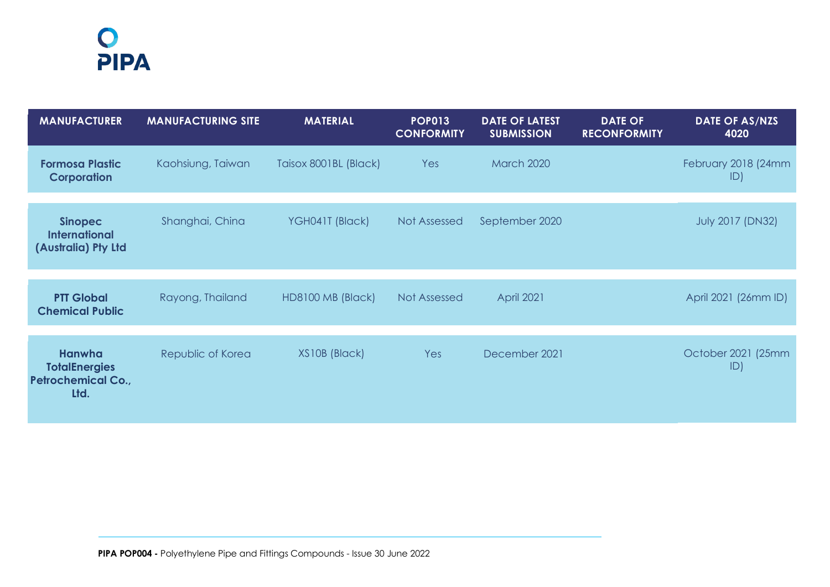# O<br>PIPA

| <b>MANUFACTURER</b>                                                        | <b>MANUFACTURING SITE</b> | <b>MATERIAL</b>       | POPO13<br><b>CONFORMITY</b> | <b>DATE OF LATEST</b><br><b>SUBMISSION</b> | <b>DATE OF</b><br><b>RECONFORMITY</b> | <b>DATE OF AS/NZS</b><br>4020 |
|----------------------------------------------------------------------------|---------------------------|-----------------------|-----------------------------|--------------------------------------------|---------------------------------------|-------------------------------|
| <b>Formosa Plastic</b><br><b>Corporation</b>                               | Kaohsiung, Taiwan         | Taisox 8001BL (Black) | Yes                         | <b>March 2020</b>                          |                                       | February 2018 (24mm<br>ID)    |
| <b>Sinopec</b><br><b>International</b><br>(Australia) Pty Ltd              | Shanghai, China           | YGH041T (Black)       | Not Assessed                | September 2020                             |                                       | <b>July 2017 (DN32)</b>       |
| <b>PTT Global</b><br><b>Chemical Public</b>                                | Rayong, Thailand          | HD8100 MB (Black)     | Not Assessed                | <b>April 2021</b>                          |                                       | April 2021 (26mm ID)          |
| <b>Hanwha</b><br><b>TotalEnergies</b><br><b>Petrochemical Co.,</b><br>Ltd. | Republic of Korea         | XS10B (Black)         | <b>Yes</b>                  | December 2021                              |                                       | October 2021 (25mm<br>ID)     |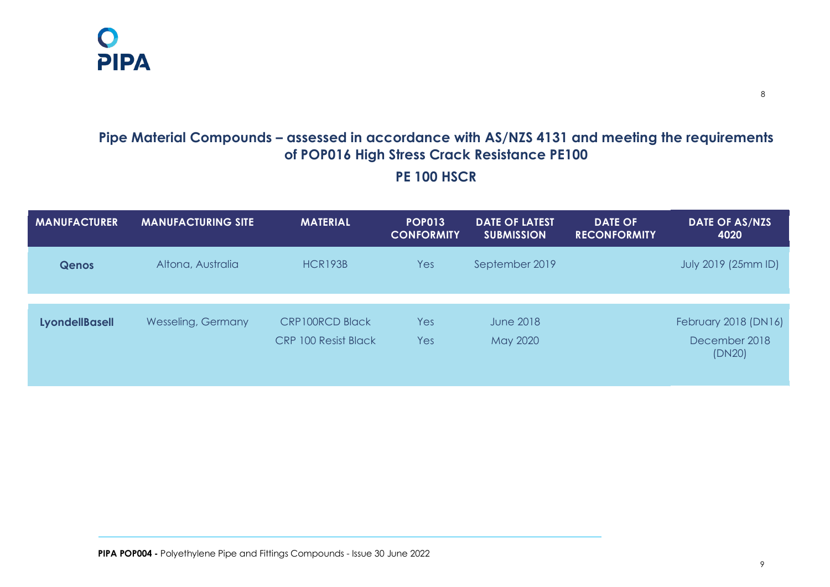

# **Pipe Material Compounds – assessed in accordance with AS/NZS 4131 and meeting the requirements of POP016 High Stress Crack Resistance PE100 PE 100 HSCR**

| <b>MANUFACTURER</b>   | <b>MANUFACTURING SITE</b> | <b>MATERIAL</b>             | <b>POP013</b><br><b>CONFORMITY</b> | <b>DATE OF LATEST</b><br><b>SUBMISSION</b> | <b>DATE OF</b><br><b>RECONFORMITY</b> | <b>DATE OF AS/NZS</b><br>4020 |
|-----------------------|---------------------------|-----------------------------|------------------------------------|--------------------------------------------|---------------------------------------|-------------------------------|
| <b>Qenos</b>          | Altona, Australia         | HCR193B                     | Yes                                | September 2019                             |                                       | July 2019 (25mm ID)           |
| <b>LyondellBasell</b> | <b>Wesseling, Germany</b> | <b>CRP100RCD Black</b>      | Yes                                | <b>June 2018</b>                           |                                       | February 2018 (DN16)          |
|                       |                           | <b>CRP 100 Resist Black</b> | Yes                                | May 2020                                   |                                       | December 2018<br>(DN20)       |

8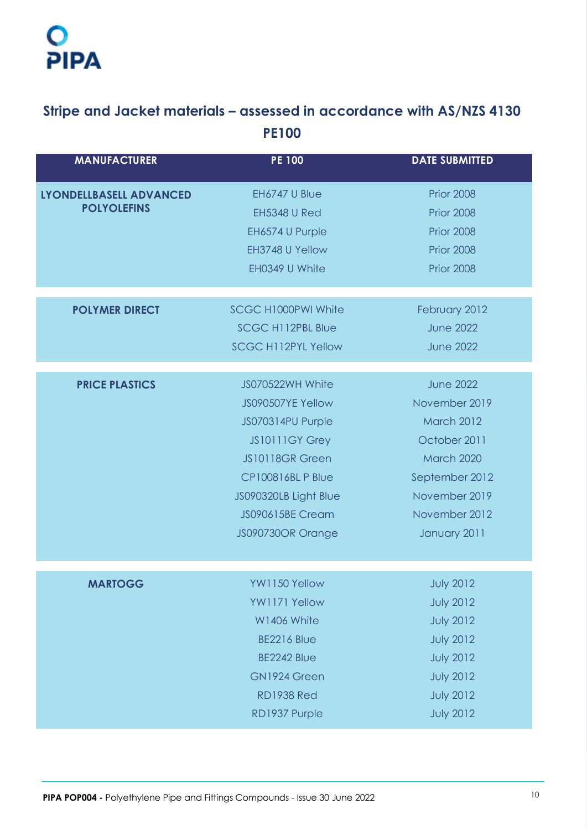# $\overline{O}$ PIPA

# **Stripe and Jacket materials – assessed in accordance with AS/NZS 4130 PE100**

| <b>MANUFACTURER</b>            | <b>PE 100</b>              | <b>DATE SUBMITTED</b> |
|--------------------------------|----------------------------|-----------------------|
| <b>LYONDELLBASELL ADVANCED</b> | EH6747 U Blue              | <b>Prior 2008</b>     |
| <b>POLYOLEFINS</b>             | <b>EH5348 U Red</b>        | <b>Prior 2008</b>     |
|                                | EH6574 U Purple            | <b>Prior 2008</b>     |
|                                | EH3748 U Yellow            | <b>Prior 2008</b>     |
|                                | EH0349 U White             | <b>Prior 2008</b>     |
| <b>POLYMER DIRECT</b>          | <b>SCGC H1000PWI White</b> | February 2012         |
|                                | <b>SCGC H112PBL Blue</b>   | <b>June 2022</b>      |
|                                | <b>SCGC H112PYL Yellow</b> | <b>June 2022</b>      |
|                                |                            |                       |
| <b>PRICE PLASTICS</b>          | JS070522WH White           | <b>June 2022</b>      |
|                                | JS090507YE Yellow          | November 2019         |
|                                | JS070314PU Purple          | <b>March 2012</b>     |
|                                | JS10111GY Grey             | October 2011          |
|                                | <b>JS10118GR Green</b>     | March 2020            |
|                                | <b>CP100816BL P Blue</b>   | September 2012        |
|                                | JS090320LB Light Blue      | November 2019         |
|                                | <b>JS090615BE Cream</b>    | November 2012         |
|                                | JS090730OR Orange          | January 2011          |
|                                |                            |                       |
| <b>MARTOGG</b>                 | YW1150 Yellow              | <b>July 2012</b>      |
|                                | YW1171 Yellow              | <b>July 2012</b>      |
|                                | W1406 White                | <b>July 2012</b>      |
|                                | <b>BE2216 Blue</b>         | <b>July 2012</b>      |
|                                | BE2242 Blue                | <b>July 2012</b>      |
|                                | GN1924 Green               | <b>July 2012</b>      |
|                                | <b>RD1938 Red</b>          | <b>July 2012</b>      |
|                                | RD1937 Purple              | <b>July 2012</b>      |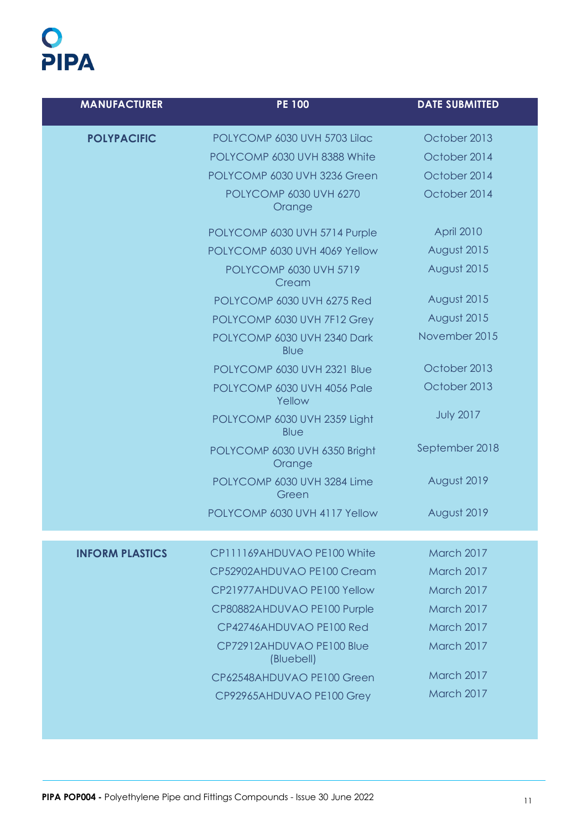# O<br>PIPA

| <b>MANUFACTURER</b>    | <b>PE 100</b>                           | <b>DATE SUBMITTED</b> |
|------------------------|-----------------------------------------|-----------------------|
| <b>POLYPACIFIC</b>     | POLYCOMP 6030 UVH 5703 Lilac            | October 2013          |
|                        | POLYCOMP 6030 UVH 8388 White            | October 2014          |
|                        | POLYCOMP 6030 UVH 3236 Green            | October 2014          |
|                        | <b>POLYCOMP 6030 UVH 6270</b><br>Orange | October 2014          |
|                        | POLYCOMP 6030 UVH 5714 Purple           | April 2010            |
|                        | POLYCOMP 6030 UVH 4069 Yellow           | August 2015           |
|                        | POLYCOMP 6030 UVH 5719<br>Cream         | August 2015           |
|                        | POLYCOMP 6030 UVH 6275 Red              | August 2015           |
|                        | POLYCOMP 6030 UVH 7F12 Grey             | August 2015           |
|                        | POLYCOMP 6030 UVH 2340 Dark<br>Blue     | November 2015         |
|                        | POLYCOMP 6030 UVH 2321 Blue             | October 2013          |
|                        | POLYCOMP 6030 UVH 4056 Pale<br>Yellow   | October 2013          |
|                        | POLYCOMP 6030 UVH 2359 Light<br>Blue    | <b>July 2017</b>      |
|                        | POLYCOMP 6030 UVH 6350 Bright<br>Orange | September 2018        |
|                        | POLYCOMP 6030 UVH 3284 Lime<br>Green    | August 2019           |
|                        | POLYCOMP 6030 UVH 4117 Yellow           | August 2019           |
| <b>INFORM PLASTICS</b> | CP111169AHDUVAO PE100 White             | March 2017            |
|                        | CP52902AHDUVAO PE100 Cream              | March 2017            |
|                        | CP21977AHDUVAO PE100 Yellow             | March 2017            |
|                        | CP80882AHDUVAO PE100 Purple             | March 2017            |
|                        | CP42746AHDUVAO PE100 Red                | March 2017            |
|                        | CP72912AHDUVAO PE100 Blue<br>(Bluebell) | March 2017            |
|                        | CP62548AHDUVAO PE100 Green              | March 2017            |
|                        | CP92965AHDUVAO PE100 Grey               | March 2017            |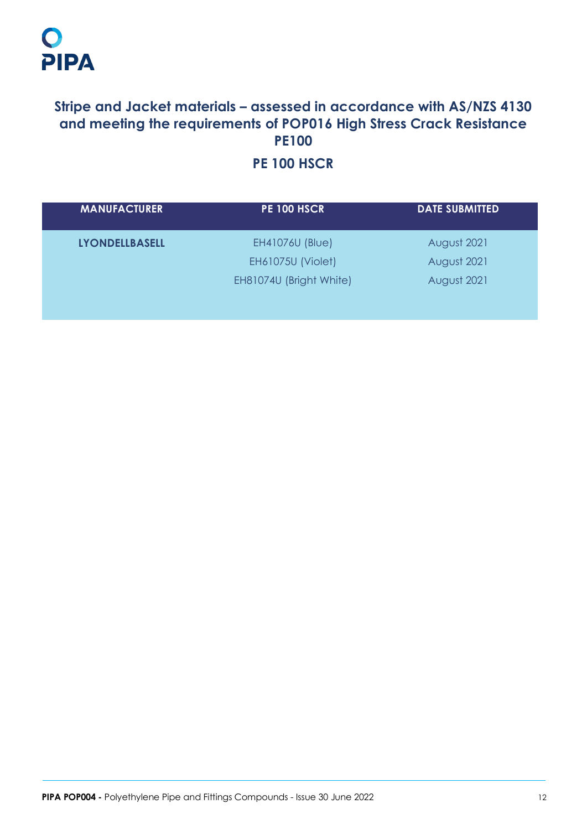# **Stripe and Jacket materials – assessed in accordance with AS/NZS 4130 and meeting the requirements of POP016 High Stress Crack Resistance PE100**

# **PE 100 HSCR**

| <b>MANUFACTURER</b>   | <b>PE 100 HSCR</b>       | <b>DATE SUBMITTED</b> |
|-----------------------|--------------------------|-----------------------|
| <b>LYONDELLBASELL</b> | <b>EH41076U (Blue)</b>   | August 2021           |
|                       | <b>EH61075U (Violet)</b> | August 2021           |
|                       | EH81074U (Bright White)  | August 2021           |
|                       |                          |                       |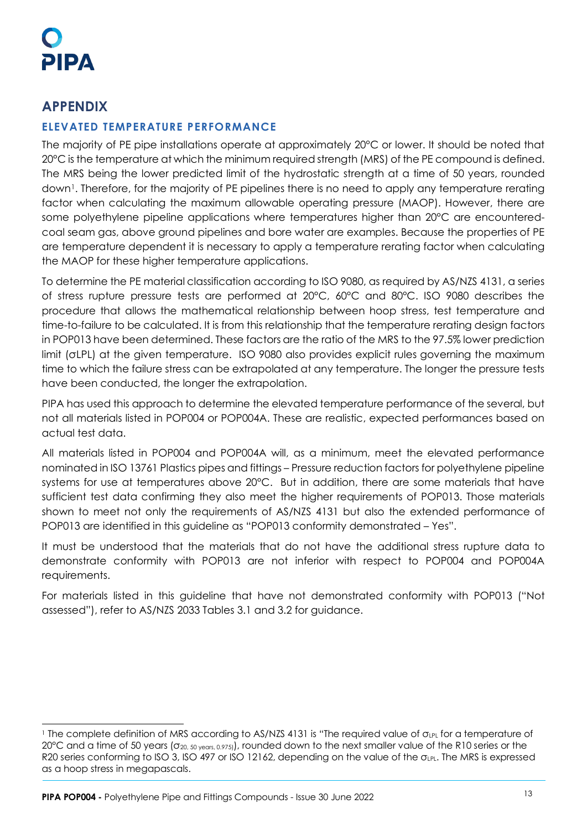## **APPENDIX**

## **ELEVATED TEMPERATURE PERFORMANCE**

The majority of PE pipe installations operate at approximately 20°C or lower. It should be noted that 20°C is the temperature at which the minimum required strength (MRS) of the PE compound is defined. The MRS being the lower predicted limit of the hydrostatic strength at a time of 50 years, rounded down<sup>[1](#page-13-0)</sup>. Therefore, for the majority of PE pipelines there is no need to apply any temperature rerating factor when calculating the maximum allowable operating pressure (MAOP). However, there are some polyethylene pipeline applications where temperatures higher than 20°C are encounteredcoal seam gas, above ground pipelines and bore water are examples. Because the properties of PE are temperature dependent it is necessary to apply a temperature rerating factor when calculating the MAOP for these higher temperature applications.

To determine the PE material classification according to ISO 9080, as required by AS/NZS 4131, a series of stress rupture pressure tests are performed at 20°C, 60°C and 80°C. ISO 9080 describes the procedure that allows the mathematical relationship between hoop stress, test temperature and time-to-failure to be calculated. It is from this relationship that the temperature rerating design factors in POP013 have been determined. These factors are the ratio of the MRS to the 97.5% lower prediction limit (σLPL) at the given temperature. ISO 9080 also provides explicit rules governing the maximum time to which the failure stress can be extrapolated at any temperature. The longer the pressure tests have been conducted, the longer the extrapolation.

PIPA has used this approach to determine the elevated temperature performance of the several, but not all materials listed in POP004 or POP004A. These are realistic, expected performances based on actual test data.

All materials listed in POP004 and POP004A will, as a minimum, meet the elevated performance nominated in ISO 13761 Plastics pipes and fittings – Pressure reduction factors for polyethylene pipeline systems for use at temperatures above 20°C. But in addition, there are some materials that have sufficient test data confirming they also meet the higher requirements of POP013. Those materials shown to meet not only the requirements of AS/NZS 4131 but also the extended performance of POP013 are identified in this guideline as "POP013 conformity demonstrated – Yes".

It must be understood that the materials that do not have the additional stress rupture data to demonstrate conformity with POP013 are not inferior with respect to POP004 and POP004A requirements.

For materials listed in this guideline that have not demonstrated conformity with POP013 ("Not assessed"), refer to AS/NZS 2033 Tables 3.1 and 3.2 for guidance.

<span id="page-13-0"></span><sup>&</sup>lt;sup>1</sup> The complete definition of MRS according to AS/NZS 4131 is "The required value of σ<sub>LPL</sub> for a temperature of 20°C and a time of 50 years (σ<sub>20, 50 years, 0.975)</sub>), rounded down to the next smaller value of the R10 series or the R20 series conforming to ISO 3, ISO 497 or ISO 12162, depending on the value of the  $\sigma_{LPL}$ . The MRS is expressed as a hoop stress in megapascals.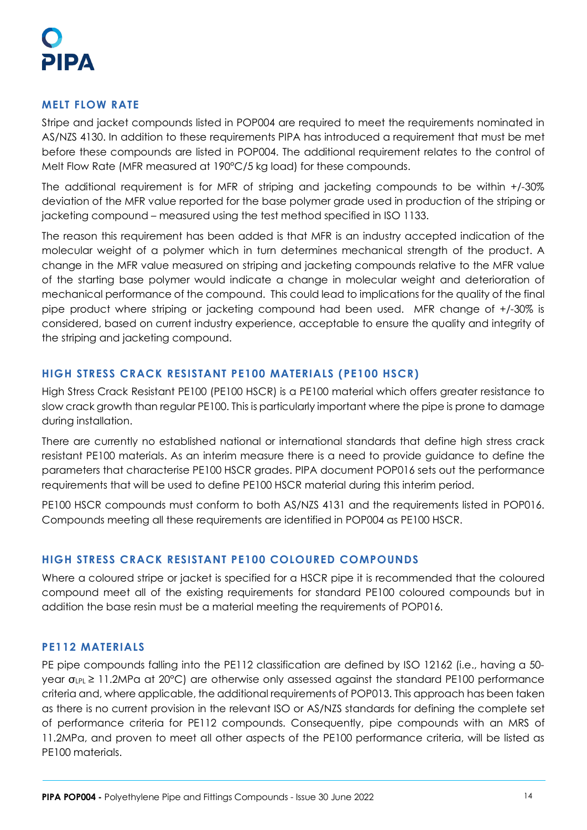# ІРА

## **MELT FLOW RATE**

Stripe and jacket compounds listed in POP004 are required to meet the requirements nominated in AS/NZS 4130. In addition to these requirements PIPA has introduced a requirement that must be met before these compounds are listed in POP004. The additional requirement relates to the control of Melt Flow Rate (MFR measured at 190°C/5 kg load) for these compounds.

The additional requirement is for MFR of striping and jacketing compounds to be within +/-30% deviation of the MFR value reported for the base polymer grade used in production of the striping or jacketing compound – measured using the test method specified in ISO 1133.

The reason this requirement has been added is that MFR is an industry accepted indication of the molecular weight of a polymer which in turn determines mechanical strength of the product. A change in the MFR value measured on striping and jacketing compounds relative to the MFR value of the starting base polymer would indicate a change in molecular weight and deterioration of mechanical performance of the compound. This could lead to implications for the quality of the final pipe product where striping or jacketing compound had been used. MFR change of +/-30% is considered, based on current industry experience, acceptable to ensure the quality and integrity of the striping and jacketing compound.

## **HIGH STRESS CRACK RESISTANT PE100 MATERIALS (PE100 HSCR)**

High Stress Crack Resistant PE100 (PE100 HSCR) is a PE100 material which offers greater resistance to slow crack growth than regular PE100. This is particularly important where the pipe is prone to damage during installation.

There are currently no established national or international standards that define high stress crack resistant PE100 materials. As an interim measure there is a need to provide guidance to define the parameters that characterise PE100 HSCR grades. PIPA document POP016 sets out the performance requirements that will be used to define PE100 HSCR material during this interim period.

PE100 HSCR compounds must conform to both AS/NZS 4131 and the requirements listed in POP016. Compounds meeting all these requirements are identified in POP004 as PE100 HSCR.

## **HIGH STRESS CRACK RESISTANT PE100 COLOURED COMPOUNDS**

Where a coloured stripe or jacket is specified for a HSCR pipe it is recommended that the coloured compound meet all of the existing requirements for standard PE100 coloured compounds but in addition the base resin must be a material meeting the requirements of POP016.

## **PE112 MATERIALS**

PE pipe compounds falling into the PE112 classification are defined by ISO 12162 (i.e., having a 50 year  $\sigma_{LPL} \ge 11.2$ MPa at 20°C) are otherwise only assessed against the standard PE100 performance criteria and, where applicable, the additional requirements of POP013. This approach has been taken as there is no current provision in the relevant ISO or AS/NZS standards for defining the complete set of performance criteria for PE112 compounds. Consequently, pipe compounds with an MRS of 11.2MPa, and proven to meet all other aspects of the PE100 performance criteria, will be listed as PE100 materials.